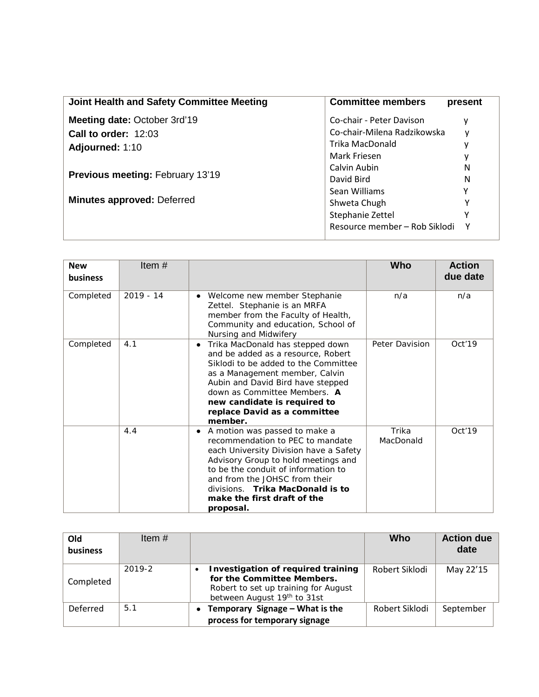| Joint Health and Safety Committee Meeting | <b>Committee members</b>      | present |
|-------------------------------------------|-------------------------------|---------|
| Meeting date: October 3rd'19              | Co-chair - Peter Davison      | у       |
| Call to order: 12:03                      | Co-chair-Milena Radzikowska   | ٧       |
| Adjourned: 1:10                           | Trika MacDonald               |         |
|                                           | Mark Friesen                  |         |
|                                           | Calvin Aubin                  | N       |
| <b>Previous meeting: February 13'19</b>   | David Bird                    | N       |
|                                           | Sean Williams                 | γ       |
| <b>Minutes approved: Deferred</b>         | Shweta Chugh                  |         |
|                                           | Stephanie Zettel              |         |
|                                           | Resource member - Rob Siklodi | Υ       |

| <b>New</b><br>business | Item#       |                                                                                                                                                                                                                                                                                                                 | <b>Who</b>         | <b>Action</b><br>due date |
|------------------------|-------------|-----------------------------------------------------------------------------------------------------------------------------------------------------------------------------------------------------------------------------------------------------------------------------------------------------------------|--------------------|---------------------------|
| Completed              | $2019 - 14$ | Welcome new member Stephanie<br>٠<br>Zettel. Stephanie is an MRFA<br>member from the Faculty of Health,<br>Community and education, School of<br>Nursing and Midwifery                                                                                                                                          | n/a                | n/a                       |
| Completed              | 4.1         | Trika MacDonald has stepped down<br>$\bullet$<br>and be added as a resource, Robert<br>Siklodi to be added to the Committee<br>as a Management member, Calvin<br>Aubin and David Bird have stepped<br>down as Committee Members. A<br>new candidate is required to<br>replace David as a committee<br>member.   | Peter Davision     | Oct'19                    |
|                        | 4.4         | A motion was passed to make a<br>٠<br>recommendation to PEC to mandate<br>each University Division have a Safety<br>Advisory Group to hold meetings and<br>to be the conduit of information to<br>and from the JOHSC from their<br>divisions. Trika MacDonald is to<br>make the first draft of the<br>proposal. | Trika<br>MacDonald | Oct'19                    |

| Old<br>business | Item $#$ |                                                                                                                                         | Who            | <b>Action due</b><br>date |
|-----------------|----------|-----------------------------------------------------------------------------------------------------------------------------------------|----------------|---------------------------|
| Completed       | 2019-2   | Investigation of required training<br>for the Committee Members.<br>Robert to set up training for August<br>between August 19th to 31st | Robert Siklodi | May 22'15                 |
| Deferred        | 5.1      | Temporary Signage - What is the<br>$\bullet$<br>process for temporary signage                                                           | Robert Siklodi | September                 |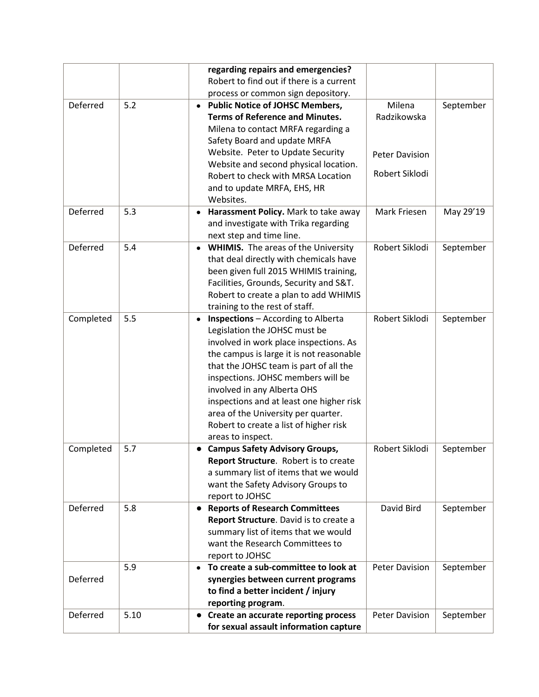|           |      | regarding repairs and emergencies?<br>Robert to find out if there is a current                                                                                                                                                                                                                                                                                                                                                                 |                       |           |
|-----------|------|------------------------------------------------------------------------------------------------------------------------------------------------------------------------------------------------------------------------------------------------------------------------------------------------------------------------------------------------------------------------------------------------------------------------------------------------|-----------------------|-----------|
| Deferred  | 5.2  | process or common sign depository.<br><b>Public Notice of JOHSC Members,</b><br>$\bullet$<br><b>Terms of Reference and Minutes.</b><br>Milena to contact MRFA regarding a<br>Safety Board and update MRFA                                                                                                                                                                                                                                      | Milena<br>Radzikowska | September |
|           |      | Website. Peter to Update Security<br>Website and second physical location.                                                                                                                                                                                                                                                                                                                                                                     | <b>Peter Davision</b> |           |
|           |      | Robert to check with MRSA Location<br>and to update MRFA, EHS, HR<br>Websites.                                                                                                                                                                                                                                                                                                                                                                 | Robert Siklodi        |           |
| Deferred  | 5.3  | Harassment Policy. Mark to take away<br>$\bullet$<br>and investigate with Trika regarding<br>next step and time line.                                                                                                                                                                                                                                                                                                                          | Mark Friesen          | May 29'19 |
| Deferred  | 5.4  | <b>WHIMIS.</b> The areas of the University<br>$\bullet$<br>that deal directly with chemicals have<br>been given full 2015 WHIMIS training,<br>Facilities, Grounds, Security and S&T.<br>Robert to create a plan to add WHIMIS<br>training to the rest of staff.                                                                                                                                                                                | Robert Siklodi        | September |
| Completed | 5.5  | <b>Inspections</b> - According to Alberta<br>$\bullet$<br>Legislation the JOHSC must be<br>involved in work place inspections. As<br>the campus is large it is not reasonable<br>that the JOHSC team is part of all the<br>inspections. JOHSC members will be<br>involved in any Alberta OHS<br>inspections and at least one higher risk<br>area of the University per quarter.<br>Robert to create a list of higher risk<br>areas to inspect. | Robert Siklodi        | September |
| Completed | 5.7  | <b>Campus Safety Advisory Groups,</b><br>Report Structure. Robert is to create<br>a summary list of items that we would<br>want the Safety Advisory Groups to<br>report to JOHSC                                                                                                                                                                                                                                                               | Robert Siklodi        | September |
| Deferred  | 5.8  | <b>Reports of Research Committees</b><br>$\bullet$<br>Report Structure. David is to create a<br>summary list of items that we would<br>want the Research Committees to<br>report to JOHSC                                                                                                                                                                                                                                                      | David Bird            | September |
| Deferred  | 5.9  | To create a sub-committee to look at<br>$\bullet$<br>synergies between current programs<br>to find a better incident / injury<br>reporting program.                                                                                                                                                                                                                                                                                            | <b>Peter Davision</b> | September |
| Deferred  | 5.10 | Create an accurate reporting process<br>$\bullet$<br>for sexual assault information capture                                                                                                                                                                                                                                                                                                                                                    | <b>Peter Davision</b> | September |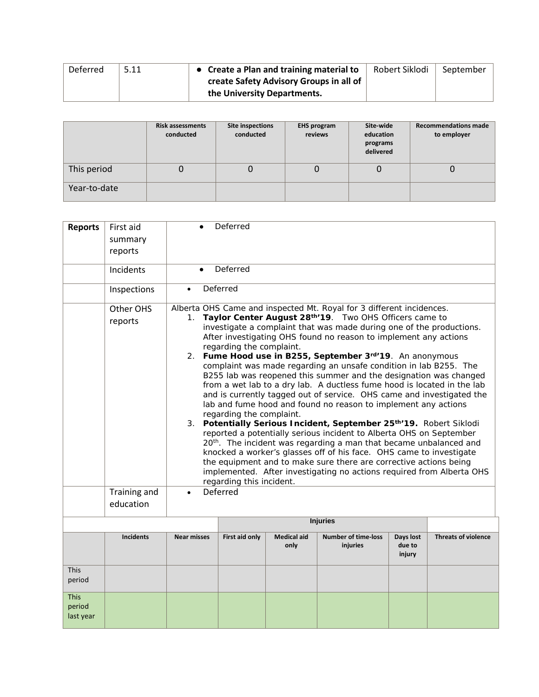| Deferred | 5.11 | • Create a Plan and training material to | Robert Siklodi | September |
|----------|------|------------------------------------------|----------------|-----------|
|          |      | create Safety Advisory Groups in all of  |                |           |
|          |      | the University Departments.              |                |           |

|              | <b>Risk assessments</b><br>conducted | <b>Site inspections</b><br>conducted | <b>EHS program</b><br>reviews | Site-wide<br>education<br>programs<br>delivered | <b>Recommendations made</b><br>to employer |
|--------------|--------------------------------------|--------------------------------------|-------------------------------|-------------------------------------------------|--------------------------------------------|
| This period  | 0                                    | U                                    | Ü                             | 0                                               |                                            |
| Year-to-date |                                      |                                      |                               |                                                 |                                            |

| <b>Reports</b>                     | First aid<br>summary<br>reports      |                    | Deferred                                                                                                                                                                                                                                                                                                                                                                                                                                                                                                                                                                                                                                                                                                                                                                                                                                                                                                                                                                                                                                                                                                                                                                                                                                                       |                            |                                        |                               |                            |  |
|------------------------------------|--------------------------------------|--------------------|----------------------------------------------------------------------------------------------------------------------------------------------------------------------------------------------------------------------------------------------------------------------------------------------------------------------------------------------------------------------------------------------------------------------------------------------------------------------------------------------------------------------------------------------------------------------------------------------------------------------------------------------------------------------------------------------------------------------------------------------------------------------------------------------------------------------------------------------------------------------------------------------------------------------------------------------------------------------------------------------------------------------------------------------------------------------------------------------------------------------------------------------------------------------------------------------------------------------------------------------------------------|----------------------------|----------------------------------------|-------------------------------|----------------------------|--|
|                                    | Incidents                            | $\bullet$          | Deferred                                                                                                                                                                                                                                                                                                                                                                                                                                                                                                                                                                                                                                                                                                                                                                                                                                                                                                                                                                                                                                                                                                                                                                                                                                                       |                            |                                        |                               |                            |  |
|                                    | Inspections                          | $\bullet$          | Deferred                                                                                                                                                                                                                                                                                                                                                                                                                                                                                                                                                                                                                                                                                                                                                                                                                                                                                                                                                                                                                                                                                                                                                                                                                                                       |                            |                                        |                               |                            |  |
|                                    | Other OHS<br>reports<br>Training and | Deferred           | Alberta OHS Came and inspected Mt. Royal for 3 different incidences.<br>1. Taylor Center August 28 <sup>th</sup> '19. Two OHS Officers came to<br>investigate a complaint that was made during one of the productions.<br>After investigating OHS found no reason to implement any actions<br>regarding the complaint.<br>2. Fume Hood use in B255, September 3rd'19. An anonymous<br>complaint was made regarding an unsafe condition in lab B255. The<br>B255 lab was reopened this summer and the designation was changed<br>from a wet lab to a dry lab. A ductless fume hood is located in the lab<br>and is currently tagged out of service. OHS came and investigated the<br>lab and fume hood and found no reason to implement any actions<br>regarding the complaint.<br>3. Potentially Serious Incident, September 25th/19. Robert Siklodi<br>reported a potentially serious incident to Alberta OHS on September<br>20 <sup>th</sup> . The incident was regarding a man that became unbalanced and<br>knocked a worker's glasses off of his face. OHS came to investigate<br>the equipment and to make sure there are corrective actions being<br>implemented. After investigating no actions required from Alberta OHS<br>regarding this incident. |                            |                                        |                               |                            |  |
|                                    | education                            |                    |                                                                                                                                                                                                                                                                                                                                                                                                                                                                                                                                                                                                                                                                                                                                                                                                                                                                                                                                                                                                                                                                                                                                                                                                                                                                |                            |                                        |                               |                            |  |
|                                    |                                      |                    |                                                                                                                                                                                                                                                                                                                                                                                                                                                                                                                                                                                                                                                                                                                                                                                                                                                                                                                                                                                                                                                                                                                                                                                                                                                                |                            | <b>Injuries</b>                        |                               |                            |  |
|                                    | <b>Incidents</b>                     | <b>Near misses</b> | First aid only                                                                                                                                                                                                                                                                                                                                                                                                                                                                                                                                                                                                                                                                                                                                                                                                                                                                                                                                                                                                                                                                                                                                                                                                                                                 | <b>Medical aid</b><br>only | <b>Number of time-loss</b><br>injuries | Days lost<br>due to<br>injury | <b>Threats of violence</b> |  |
| <b>This</b><br>period              |                                      |                    |                                                                                                                                                                                                                                                                                                                                                                                                                                                                                                                                                                                                                                                                                                                                                                                                                                                                                                                                                                                                                                                                                                                                                                                                                                                                |                            |                                        |                               |                            |  |
| <b>This</b><br>period<br>last year |                                      |                    |                                                                                                                                                                                                                                                                                                                                                                                                                                                                                                                                                                                                                                                                                                                                                                                                                                                                                                                                                                                                                                                                                                                                                                                                                                                                |                            |                                        |                               |                            |  |